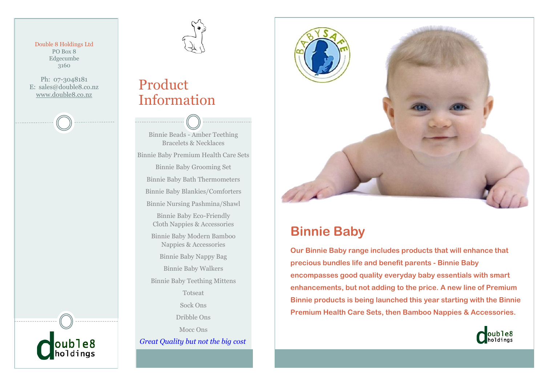Double 8 Holdings Ltd PO Box 8 Edgecumbe 3160

Ph: 07-3048181 E: sales@double8.co.nz www.double8.co.nz



## Product Information

Binnie Beads - Amber Teething Bracelets & Necklaces Binnie Baby Premium Health Care Sets Binnie Baby Grooming Set Binnie Baby Bath Thermometers Binnie Baby Blankies/Comforters Binnie Nursing Pashmina/Shawl Binnie Baby Eco-Friendly Cloth Nappies & Accessories Binnie Baby Modern Bamboo Nappies & Accessories Binnie Baby Nappy Bag Binnie Baby Walkers Binnie Baby Teething Mittens Totseat Sock Ons Dribble Ons

Mocc Ons *Great Quality but not the big cost*



## **Binnie Baby**

**Our Binnie Baby range includes products that will enhance that precious bundles life and benefit parents - Binnie Baby encompasses good quality everyday baby essentials with smart enhancements, but not adding to the price. A new line of Premium Binnie products is being launched this year starting with the Binnie Premium Health Care Sets, then Bamboo Nappies & Accessories.**